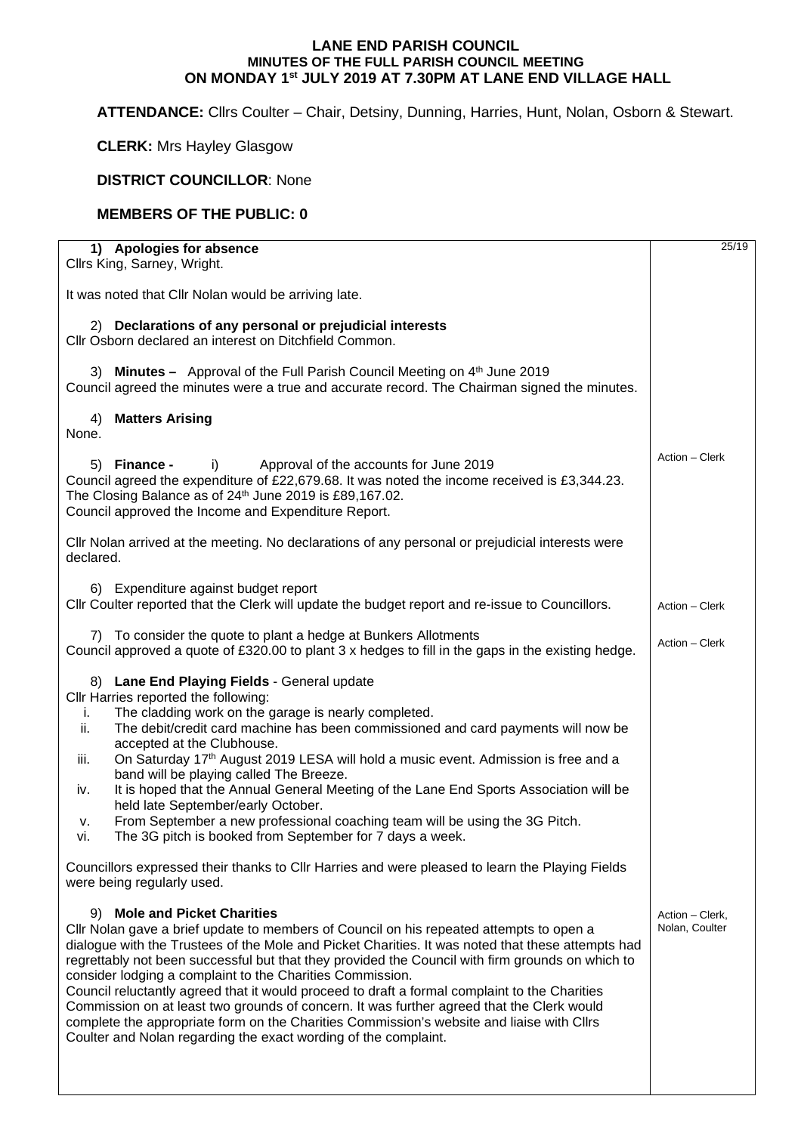## **LANE END PARISH COUNCIL MINUTES OF THE FULL PARISH COUNCIL MEETING ON MONDAY 1st JULY 2019 AT 7.30PM AT LANE END VILLAGE HALL**

**ATTENDANCE:** Cllrs Coulter – Chair, Detsiny, Dunning, Harries, Hunt, Nolan, Osborn & Stewart.

**CLERK:** Mrs Hayley Glasgow

## **DISTRICT COUNCILLOR**: None

## **MEMBERS OF THE PUBLIC: 0**

| 1) Apologies for absence<br>Cllrs King, Sarney, Wright.                                                                                                                                                                                                                                                                                                                                                                                                                                                                                                                                                                                                                                                                                                     | 25/19                             |
|-------------------------------------------------------------------------------------------------------------------------------------------------------------------------------------------------------------------------------------------------------------------------------------------------------------------------------------------------------------------------------------------------------------------------------------------------------------------------------------------------------------------------------------------------------------------------------------------------------------------------------------------------------------------------------------------------------------------------------------------------------------|-----------------------------------|
| It was noted that Cllr Nolan would be arriving late.                                                                                                                                                                                                                                                                                                                                                                                                                                                                                                                                                                                                                                                                                                        |                                   |
| 2) Declarations of any personal or prejudicial interests<br>Cllr Osborn declared an interest on Ditchfield Common.                                                                                                                                                                                                                                                                                                                                                                                                                                                                                                                                                                                                                                          |                                   |
| 3) Minutes - Approval of the Full Parish Council Meeting on 4th June 2019<br>Council agreed the minutes were a true and accurate record. The Chairman signed the minutes.                                                                                                                                                                                                                                                                                                                                                                                                                                                                                                                                                                                   |                                   |
| <b>Matters Arising</b><br>4)<br>None.                                                                                                                                                                                                                                                                                                                                                                                                                                                                                                                                                                                                                                                                                                                       |                                   |
| 5) Finance -<br>Approval of the accounts for June 2019<br>i)<br>Council agreed the expenditure of £22,679.68. It was noted the income received is £3,344.23.<br>The Closing Balance as of 24th June 2019 is £89,167.02.<br>Council approved the Income and Expenditure Report.                                                                                                                                                                                                                                                                                                                                                                                                                                                                              | Action - Clerk                    |
| CIIr Nolan arrived at the meeting. No declarations of any personal or prejudicial interests were<br>declared.                                                                                                                                                                                                                                                                                                                                                                                                                                                                                                                                                                                                                                               |                                   |
| 6) Expenditure against budget report<br>Cllr Coulter reported that the Clerk will update the budget report and re-issue to Councillors.                                                                                                                                                                                                                                                                                                                                                                                                                                                                                                                                                                                                                     | Action - Clerk                    |
| 7) To consider the quote to plant a hedge at Bunkers Allotments<br>Council approved a quote of £320.00 to plant 3 x hedges to fill in the gaps in the existing hedge.                                                                                                                                                                                                                                                                                                                                                                                                                                                                                                                                                                                       | Action - Clerk                    |
| 8) Lane End Playing Fields - General update<br>Cllr Harries reported the following:<br>The cladding work on the garage is nearly completed.<br>i.<br>The debit/credit card machine has been commissioned and card payments will now be<br>ii.<br>accepted at the Clubhouse.<br>On Saturday 17 <sup>th</sup> August 2019 LESA will hold a music event. Admission is free and a<br>iii.<br>band will be playing called The Breeze.<br>It is hoped that the Annual General Meeting of the Lane End Sports Association will be<br>iv.<br>held late September/early October.<br>From September a new professional coaching team will be using the 3G Pitch.<br>ν.<br>The 3G pitch is booked from September for 7 days a week.<br>vi.                             |                                   |
| Councillors expressed their thanks to CIIr Harries and were pleased to learn the Playing Fields<br>were being regularly used.                                                                                                                                                                                                                                                                                                                                                                                                                                                                                                                                                                                                                               |                                   |
| 9) Mole and Picket Charities<br>Cllr Nolan gave a brief update to members of Council on his repeated attempts to open a<br>dialogue with the Trustees of the Mole and Picket Charities. It was noted that these attempts had<br>regrettably not been successful but that they provided the Council with firm grounds on which to<br>consider lodging a complaint to the Charities Commission.<br>Council reluctantly agreed that it would proceed to draft a formal complaint to the Charities<br>Commission on at least two grounds of concern. It was further agreed that the Clerk would<br>complete the appropriate form on the Charities Commission's website and liaise with Cllrs<br>Coulter and Nolan regarding the exact wording of the complaint. | Action - Clerk,<br>Nolan, Coulter |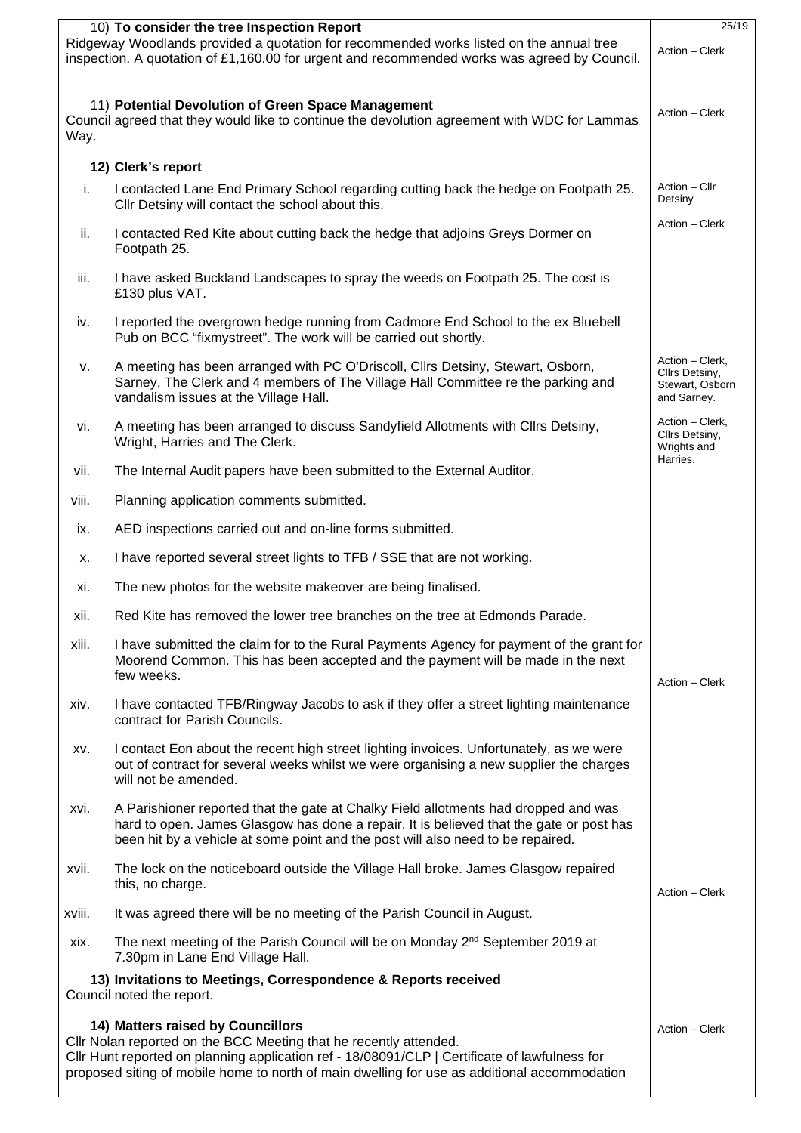| 10) To consider the tree Inspection Report                                                                                                                                                                                                                                                              |                                                                                                                                                                                                                                                                   |                                                                     |  |  |
|---------------------------------------------------------------------------------------------------------------------------------------------------------------------------------------------------------------------------------------------------------------------------------------------------------|-------------------------------------------------------------------------------------------------------------------------------------------------------------------------------------------------------------------------------------------------------------------|---------------------------------------------------------------------|--|--|
| Ridgeway Woodlands provided a quotation for recommended works listed on the annual tree<br>inspection. A quotation of £1,160.00 for urgent and recommended works was agreed by Council.                                                                                                                 |                                                                                                                                                                                                                                                                   |                                                                     |  |  |
| 11) Potential Devolution of Green Space Management<br>Council agreed that they would like to continue the devolution agreement with WDC for Lammas<br>Way.                                                                                                                                              |                                                                                                                                                                                                                                                                   |                                                                     |  |  |
|                                                                                                                                                                                                                                                                                                         | 12) Clerk's report                                                                                                                                                                                                                                                |                                                                     |  |  |
| i.                                                                                                                                                                                                                                                                                                      | I contacted Lane End Primary School regarding cutting back the hedge on Footpath 25.<br>Cllr Detsiny will contact the school about this.                                                                                                                          | Action - Cllr<br>Detsiny                                            |  |  |
| ii.                                                                                                                                                                                                                                                                                                     | I contacted Red Kite about cutting back the hedge that adjoins Greys Dormer on<br>Footpath 25.                                                                                                                                                                    | Action - Clerk                                                      |  |  |
| iii.                                                                                                                                                                                                                                                                                                    | I have asked Buckland Landscapes to spray the weeds on Footpath 25. The cost is<br>£130 plus VAT.                                                                                                                                                                 |                                                                     |  |  |
| iv.                                                                                                                                                                                                                                                                                                     | I reported the overgrown hedge running from Cadmore End School to the ex Bluebell<br>Pub on BCC "fixmystreet". The work will be carried out shortly.                                                                                                              |                                                                     |  |  |
| v.                                                                                                                                                                                                                                                                                                      | A meeting has been arranged with PC O'Driscoll, Cllrs Detsiny, Stewart, Osborn,<br>Sarney, The Clerk and 4 members of The Village Hall Committee re the parking and<br>vandalism issues at the Village Hall.                                                      | Action - Clerk,<br>Cllrs Detsiny,<br>Stewart, Osborn<br>and Sarney. |  |  |
| vi.                                                                                                                                                                                                                                                                                                     | A meeting has been arranged to discuss Sandyfield Allotments with Cllrs Detsiny,<br>Wright, Harries and The Clerk.                                                                                                                                                | Action - Clerk,<br>Cllrs Detsiny,<br>Wrights and                    |  |  |
| vii.                                                                                                                                                                                                                                                                                                    | The Internal Audit papers have been submitted to the External Auditor.                                                                                                                                                                                            | Harries.                                                            |  |  |
| viii.                                                                                                                                                                                                                                                                                                   | Planning application comments submitted.                                                                                                                                                                                                                          |                                                                     |  |  |
| ix.                                                                                                                                                                                                                                                                                                     | AED inspections carried out and on-line forms submitted.                                                                                                                                                                                                          |                                                                     |  |  |
| х.                                                                                                                                                                                                                                                                                                      | I have reported several street lights to TFB / SSE that are not working.                                                                                                                                                                                          |                                                                     |  |  |
| xi.                                                                                                                                                                                                                                                                                                     | The new photos for the website makeover are being finalised.                                                                                                                                                                                                      |                                                                     |  |  |
| xii.                                                                                                                                                                                                                                                                                                    | Red Kite has removed the lower tree branches on the tree at Edmonds Parade.                                                                                                                                                                                       |                                                                     |  |  |
| xiii.                                                                                                                                                                                                                                                                                                   | I have submitted the claim for to the Rural Payments Agency for payment of the grant for<br>Moorend Common. This has been accepted and the payment will be made in the next<br>few weeks.                                                                         | Action - Clerk                                                      |  |  |
| xiv.                                                                                                                                                                                                                                                                                                    | I have contacted TFB/Ringway Jacobs to ask if they offer a street lighting maintenance<br>contract for Parish Councils.                                                                                                                                           |                                                                     |  |  |
| XV.                                                                                                                                                                                                                                                                                                     | I contact Eon about the recent high street lighting invoices. Unfortunately, as we were<br>out of contract for several weeks whilst we were organising a new supplier the charges<br>will not be amended.                                                         |                                                                     |  |  |
| XVİ.                                                                                                                                                                                                                                                                                                    | A Parishioner reported that the gate at Chalky Field allotments had dropped and was<br>hard to open. James Glasgow has done a repair. It is believed that the gate or post has<br>been hit by a vehicle at some point and the post will also need to be repaired. |                                                                     |  |  |
| XVII.                                                                                                                                                                                                                                                                                                   | The lock on the noticeboard outside the Village Hall broke. James Glasgow repaired<br>this, no charge.                                                                                                                                                            | Action - Clerk                                                      |  |  |
| xviii.                                                                                                                                                                                                                                                                                                  | It was agreed there will be no meeting of the Parish Council in August.                                                                                                                                                                                           |                                                                     |  |  |
| xix.                                                                                                                                                                                                                                                                                                    | The next meeting of the Parish Council will be on Monday 2 <sup>nd</sup> September 2019 at<br>7.30pm in Lane End Village Hall.                                                                                                                                    |                                                                     |  |  |
| 13) Invitations to Meetings, Correspondence & Reports received<br>Council noted the report.                                                                                                                                                                                                             |                                                                                                                                                                                                                                                                   |                                                                     |  |  |
| 14) Matters raised by Councillors<br>Cllr Nolan reported on the BCC Meeting that he recently attended.<br>Cllr Hunt reported on planning application ref - 18/08091/CLP   Certificate of lawfulness for<br>proposed siting of mobile home to north of main dwelling for use as additional accommodation |                                                                                                                                                                                                                                                                   |                                                                     |  |  |